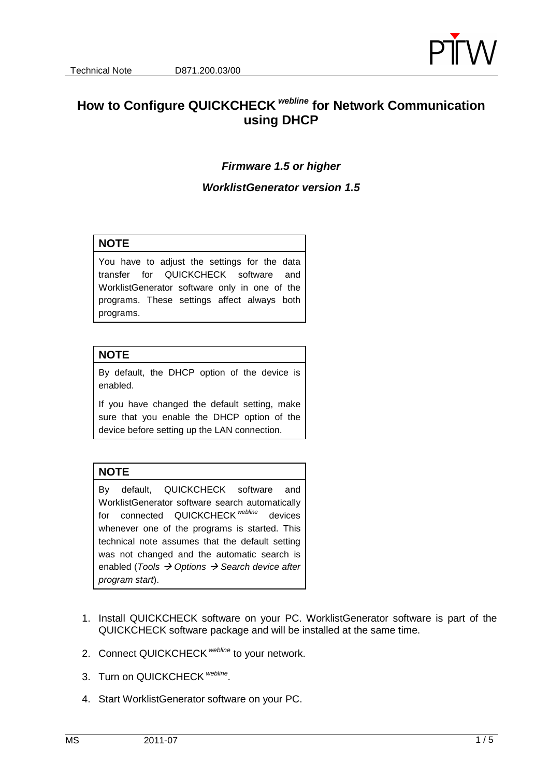

# **How to Configure QUICKCHECK webline for Network Communication using DHCP**

## **Firmware 1.5 or higher**

#### **WorklistGenerator version 1.5**

#### **NOTE**

You have to adjust the settings for the data transfer for QUICKCHECK software and WorklistGenerator software only in one of the programs. These settings affect always both programs.

#### **NOTE**

By default, the DHCP option of the device is enabled.

If you have changed the default setting, make sure that you enable the DHCP option of the device before setting up the LAN connection.

## **NOTE**

By default, QUICKCHECK software and WorklistGenerator software search automatically for connected QUICKCHECK<sup>webline</sup> devices whenever one of the programs is started. This technical note assumes that the default setting was not changed and the automatic search is enabled (Tools  $\rightarrow$  Options  $\rightarrow$  Search device after program start).

- 1. Install QUICKCHECK software on your PC. WorklistGenerator software is part of the QUICKCHECK software package and will be installed at the same time.
- 2. Connect QUICKCHECK <sup>webline</sup> to your network.
- 3. Turn on QUICKCHECK Webline.
- 4. Start WorklistGenerator software on your PC.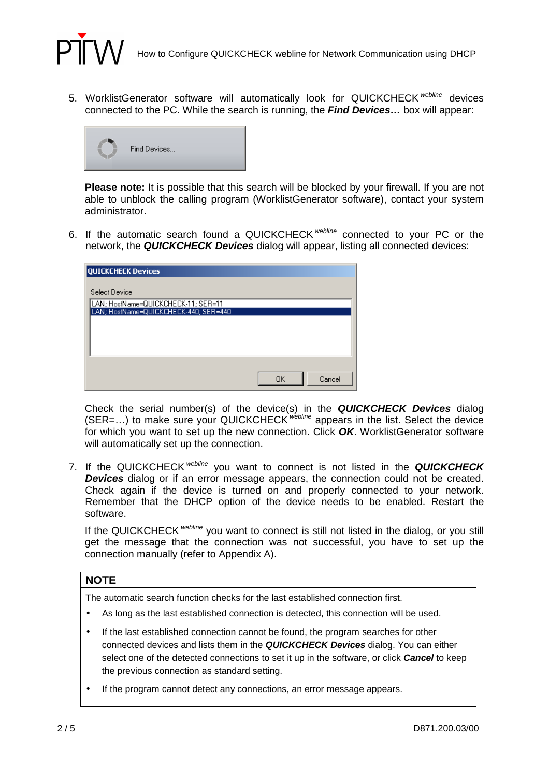

5. WorklistGenerator software will automatically look for QUICKCHECK webline devices connected to the PC. While the search is running, the **Find Devices…** box will appear:



**Please note:** It is possible that this search will be blocked by your firewall. If you are not able to unblock the calling program (WorklistGenerator software), contact your system administrator.

6. If the automatic search found a QUICKCHECK webline connected to your PC or the network, the **QUICKCHECK Devices** dialog will appear, listing all connected devices:

| <b>QUICKCHECK Devices</b>                                                    |              |
|------------------------------------------------------------------------------|--------------|
| Select Device                                                                |              |
| LAN; HostName=QUICKCHECK-11; SER=11<br>LAN; HostName=QUICKCHECK-440; SER=440 |              |
|                                                                              |              |
|                                                                              |              |
|                                                                              |              |
|                                                                              | OΚ<br>Cancel |

Check the serial number(s) of the device(s) in the **QUICKCHECK Devices** dialog (SER=...) to make sure your QUICKCHECK webline appears in the list. Select the device for which you want to set up the new connection. Click **OK**. WorklistGenerator software will automatically set up the connection.

7. If the QUICKCHECK webline you want to connect is not listed in the **QUICKCHECK Devices** dialog or if an error message appears, the connection could not be created. Check again if the device is turned on and properly connected to your network. Remember that the DHCP option of the device needs to be enabled. Restart the software.

If the QUICKCHECK webline you want to connect is still not listed in the dialog, or you still get the message that the connection was not successful, you have to set up the connection manually (refer to Appendix A).

#### **NOTE**

The automatic search function checks for the last established connection first.

- As long as the last established connection is detected, this connection will be used.
- If the last established connection cannot be found, the program searches for other connected devices and lists them in the **QUICKCHECK Devices** dialog. You can either select one of the detected connections to set it up in the software, or click **Cancel** to keep the previous connection as standard setting.
- If the program cannot detect any connections, an error message appears.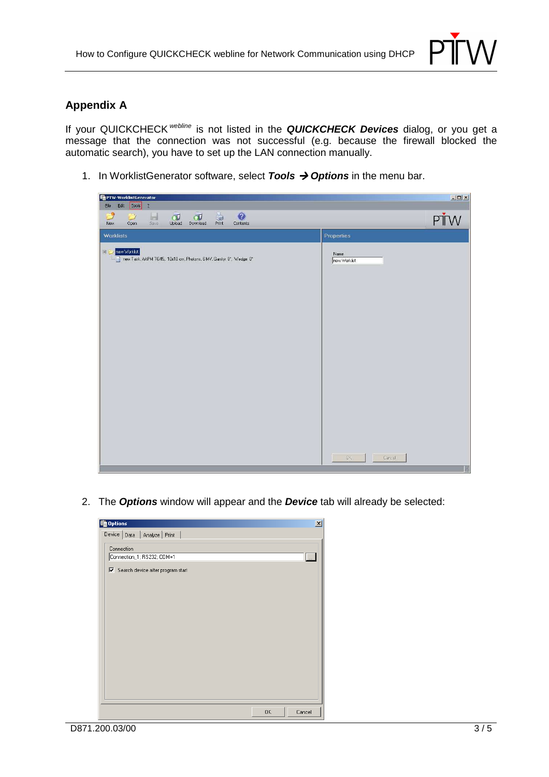

# **Appendix A**

If your QUICKCHECK webline is not listed in the **QUICKCHECK Devices** dialog, or you get a message that the connection was not successful (e.g. because the firewall blocked the automatic search), you have to set up the LAN connection manually.

1. In WorklistGenerator software, select **Tools**  $\rightarrow$  **Options** in the menu bar.

| 图 PTW-WorklistGenerator                                                                                                                                                                              |                            | $-12x$ |
|------------------------------------------------------------------------------------------------------------------------------------------------------------------------------------------------------|----------------------------|--------|
| Iools<br>Edit<br>Ele<br>$\overline{2}$                                                                                                                                                               |                            |        |
| €<br>$\begin{array}{c}\n\downarrow \\ \downarrow \\ \downarrow\n\end{array}$ Print<br>$\frac{1}{\frac{1}{2}}$<br>$\Box$ Download<br>$\overrightarrow{U}$<br><b>Ard</b><br><b>New</b><br>Open<br>Save | $\odot$<br>Contents<br>PŤW |        |
| <b>Worklists</b>                                                                                                                                                                                     | Properties                 |        |
| El 2/ new Worklist<br>new Task, AAPM TG45, 10x10 cm, Photons, 6 MV, Gantry: 0°, Wedge: 0°                                                                                                            | Name<br>new Worklist       |        |
|                                                                                                                                                                                                      | 0K<br>Cancel               | 园      |

2. The **Options** window will appear and the **Device** tab will already be selected:

| tg Options<br>Device Data   Analyze   Print                                     |           | $\vert x \vert$ |
|---------------------------------------------------------------------------------|-----------|-----------------|
| Connection<br>Connection_1; RS232; COM=1<br>区 Search device after program start |           | Q               |
|                                                                                 |           |                 |
|                                                                                 |           |                 |
|                                                                                 |           |                 |
|                                                                                 |           |                 |
|                                                                                 | <b>OK</b> | Cancel          |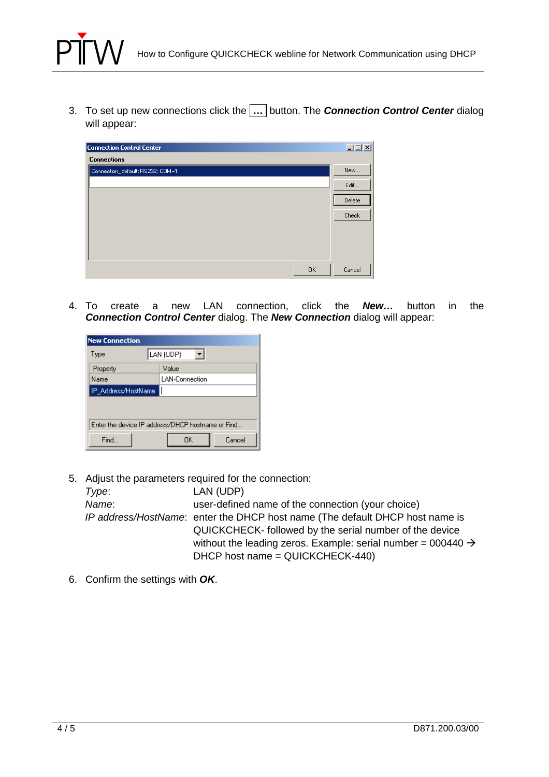

3. To set up new connections click the **…** button. The **Connection Control Center** dialog will appear:

| <b>Connection Control Center</b> | $\Box$ |
|----------------------------------|--------|
| <b>Connections</b>               |        |
| Connection_default; RS232; COM=1 | New    |
|                                  | Edit   |
|                                  | Delete |
|                                  | Check  |
|                                  |        |
|                                  |        |
|                                  |        |
| 0K                               | Cancel |

4. To create a new LAN connection, click the **New…** button in the **Connection Control Center** dialog. The **New Connection** dialog will appear:

| <b>New Connection</b>                             |                       |  |
|---------------------------------------------------|-----------------------|--|
| Type                                              | LAN (UDP)             |  |
| Property                                          | Value                 |  |
| Name                                              | <b>LAN-Connection</b> |  |
| IP_Address/HostName                               |                       |  |
|                                                   |                       |  |
|                                                   |                       |  |
| Enter the device IP address/DHCP hostname or Find |                       |  |
| Find                                              | Cancel<br><b>OK</b>   |  |

5. Adjust the parameters required for the connection:

| Type: | LAN (UDP)                                                                    |
|-------|------------------------------------------------------------------------------|
| Name: | user-defined name of the connection (your choice)                            |
|       | IP address/HostName: enter the DHCP host name (The default DHCP host name is |
|       | QUICKCHECK-followed by the serial number of the device                       |
|       | without the leading zeros. Example: serial number = 000440 $\rightarrow$     |
|       | DHCP host name = QUICKCHECK-440)                                             |

6. Confirm the settings with **OK**.